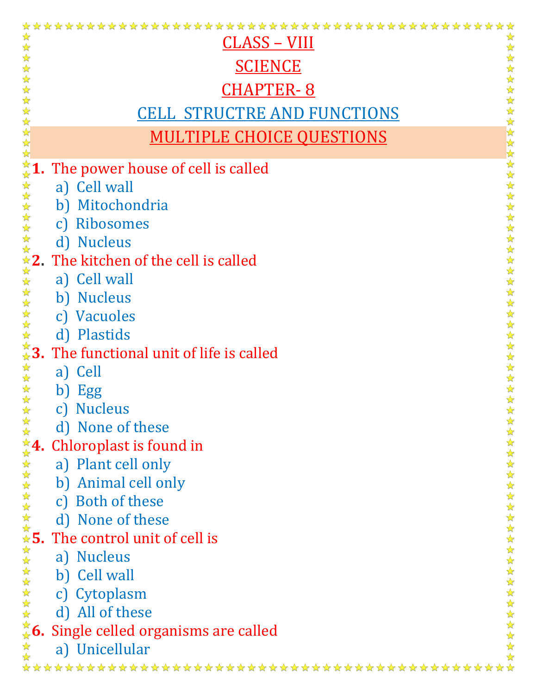| ☆                                                  |                                                   |
|----------------------------------------------------|---------------------------------------------------|
| <u>CLASS – VIII</u>                                |                                                   |
| <b>SCIENCE</b>                                     |                                                   |
| <b>CHAPTER-8</b>                                   |                                                   |
| <u>CELL STRUCTRE AND FUNCTIONS</u>                 |                                                   |
| 化化化化化化化化化化化 化化<br><b>MULTIPLE CHOICE QUESTIONS</b> | ☆☆☆☆☆☆☆☆☆☆☆☆☆☆                                    |
|                                                    |                                                   |
| The power house of cell is called                  | ☆☆☆☆☆☆☆☆☆☆☆☆☆☆☆                                   |
| a) Cell wall                                       |                                                   |
| Mitochondria<br>b)                                 |                                                   |
| Ribosomes<br>$\mathbf{C}$                          |                                                   |
| d) Nucleus                                         |                                                   |
| ☆☆☆☆☆☆☆☆ 2.<br>The kitchen of the cell is called   |                                                   |
| a) Cell wall<br>☆☆☆☆☆☆☆ 3.                         |                                                   |
| b) Nucleus                                         | $\frac{\lambda}{\lambda}$<br>$\frac{1}{\sqrt{2}}$ |
| c) Vacuoles                                        |                                                   |
| d) Plastids                                        | 公公公公                                              |
| The functional unit of life is called              |                                                   |
| 外外外外外<br>a) Cell                                   | ******                                            |
| Egg<br>b)                                          |                                                   |
| <b>Nucleus</b>                                     | $\frac{1}{2}$                                     |
| ☆☆☆☆☆☆☆☆<br>d) None of these                       |                                                   |
| Chloroplast is found in                            |                                                   |
| a) Plant cell only                                 |                                                   |
| b) Animal cell only                                |                                                   |
| c) Both of these                                   |                                                   |
| d) None of these                                   |                                                   |
| The control unit of cell is                        |                                                   |
| a) Nucleus                                         |                                                   |
| b) Cell wall                                       |                                                   |
| <b>☆☆☆☆☆☆☆☆☆☆☆☆☆☆☆</b> 6.<br>c) Cytoplasm          |                                                   |
| d) All of these                                    |                                                   |
| Single celled organisms are called                 | 女女女女女女女女女女女女女女女女女女女女女                             |
| 冷冷<br>a) Unicellular                               | $\frac{\lambda}{\lambda^2}$                       |
|                                                    |                                                   |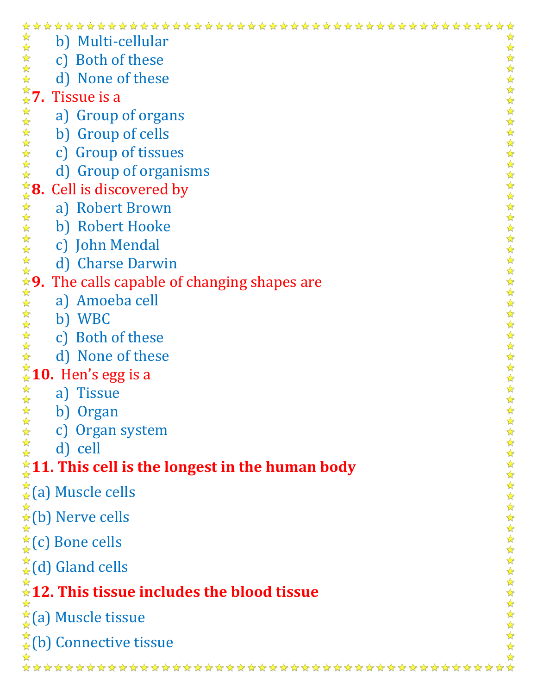| b) Multi-cellular                                                  | ☆                         |
|--------------------------------------------------------------------|---------------------------|
| c) Both of these                                                   | ☆                         |
| ☆<br>d) None of these<br>$\frac{1}{\sqrt{2}}$                      |                           |
| ☆<br>☆7.<br>Tissue is a                                            |                           |
| 计算<br>a) Group of organs                                           |                           |
| 计毕<br>b) Group of cells                                            |                           |
| c) Group of tissues<br>☆                                           |                           |
| 55年<br>d) Group of organisms                                       |                           |
| <del>҉</del> 8.<br>Cell is discovered by                           | *******                   |
| a) Robert Brown                                                    |                           |
| b) Robert Hooke                                                    |                           |
| c) John Mendal<br>☆                                                | $\frac{1}{\mathcal{N}}$   |
| 琴琴<br>d) Charse Darwin                                             |                           |
| <b>☆9.</b><br>The calls capable of changing shapes are             |                           |
| a) Amoeba cell                                                     |                           |
| 冷冷<br>b) WBC                                                       | $\frac{1}{\sqrt{2}}$<br>☆ |
| 琴琴琴<br>c) Both of these                                            | $\frac{1}{2}$<br>☆        |
| d) None of these                                                   | ☆                         |
| 10. Hen's egg is a                                                 | $\frac{1}{2}$<br>计计算      |
| <b>Tissue</b><br>a)                                                | $\frac{1}{\sqrt{2}}$      |
| b) Organ                                                           | $\mathbf{X}$              |
| *****<br>c) Organ system                                           |                           |
| d) cell                                                            |                           |
| 11. This cell is the longest in the human body                     |                           |
| $\frac{1}{2}(a)$ Muscle cells                                      |                           |
| $\underset{\star}{\overset{\star}{\star}}$ (b) Nerve cells         |                           |
| $\frac{A}{A}(c)$ Bone cells                                        | 女女女女女女女女女女女女女             |
|                                                                    |                           |
| $\frac{1}{2}(d)$ Gland cells                                       | $\frac{1}{\sqrt{2}}$      |
| $\stackrel{\star}{\ast}$ 12. This tissue includes the blood tissue |                           |
| $\frac{1}{\mathcal{L}}$ (a) Muscle tissue                          | 外外外外外外                    |
| $\hat{A}$ (b) Connective tissue                                    |                           |
|                                                                    |                           |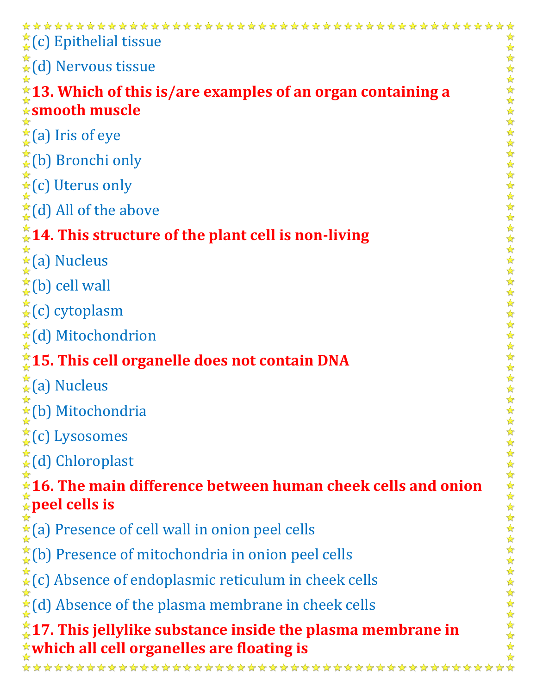| $\frac{1}{2}(c)$ Epithelial tissue                                                                                        |
|---------------------------------------------------------------------------------------------------------------------------|
| $\hat{A}$ (d) Nervous tissue                                                                                              |
| $*13.$ Which of this is/are examples of an organ containing a                                                             |
| <b><i><u><b></b></u></i></b> smooth muscle                                                                                |
| $\frac{A}{A}$ (a) Iris of eye                                                                                             |
| $\frac{\star}{\star}$ (b) Bronchi only                                                                                    |
| $\underset{\star}{\star}$ (c) Uterus only                                                                                 |
| $\frac{1}{2}$ (d) All of the above                                                                                        |
| $\frac{1}{4}$ 14. This structure of the plant cell is non-living                                                          |
| $\frac{1}{\hat{x}}$ (a) Nucleus                                                                                           |
| $\frac{1}{\star}$ (b) cell wall                                                                                           |
| $\stackrel{*}{\star}$ (c) cytoplasm                                                                                       |
| $\frac{1}{\hat{\mathbf{x}}}$ (d) Mitochondrion                                                                            |
| $^*_4$ 15. This cell organelle does not contain DNA                                                                       |
| $\frac{\pi}{4}$ (a) Nucleus                                                                                               |
| $\frac{1}{4}$ (b) Mitochondria                                                                                            |
| $\frac{\pi}{4}$ (c) Lysosomes                                                                                             |
| $\stackrel{\star}{\star}$ (d) Chloroplast                                                                                 |
| *******<br>$\frac{1}{2}$ 16. The main difference between human cheek cells and onion $\frac{1}{2}$ peel cells is          |
|                                                                                                                           |
| $\frac{1}{\star}$ (a) Presence of cell wall in onion peel cells                                                           |
| $\frac{\pi}{4}$ (b) Presence of mitochondria in onion peel cells                                                          |
| $\frac{\star}{\star}$ (c) Absence of endoplasmic reticulum in cheek cells                                                 |
| $\frac{\star}{4}$ (d) Absence of the plasma membrane in cheek cells                                                       |
|                                                                                                                           |
| $\frac{1}{2}$ 1<br>7. This jellylike substance inside the plasma membrane in<br>which all cell organelles are floating is |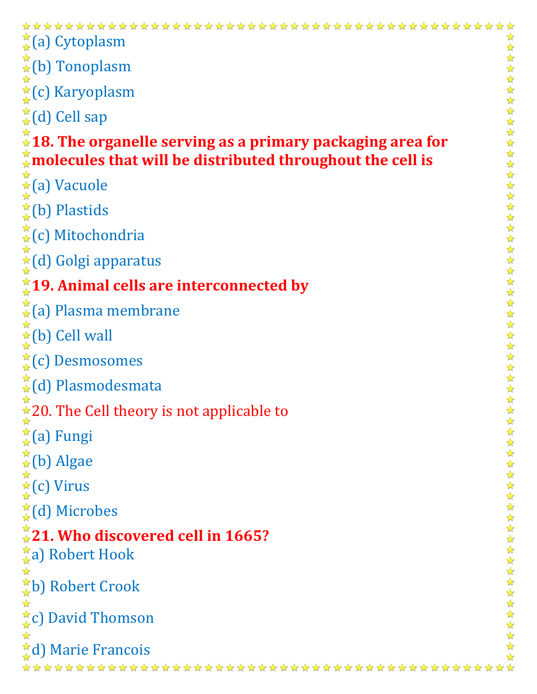$\frac{A}{A}(a)$  Cytoplasm 冷冷  $\overleftrightarrow{\star}$ (b) Tonoplasm ☆ **★**(c) Karyoplasm  $\frac{A}{A}(d)$  Cell sap **18. The organelle serving as a primary packaging area for molecules that will be distributed throughout the cell is**  $\frac{1}{\mathbf{\hat{x}}}$ (a) Vacuole  $\frac{A}{A}$ (b) Plastids  $\stackrel{\star}{\star}$ (c) Mitochondria (d) Golgi apparatus **19. Animal cells are interconnected by**  $\hat{A}(\mathsf{a})$  Plasma membrane ☆  $\star$ (b) Cell wall  $\frac{A}{A}(c)$  Desmosomes  $\stackrel{\star}{\star}$ (d) Plasmodesmata  $*$  20. The Cell theory is not applicable to (a) Fungi  $\stackrel{\star}{\star}$ (b) Algae  $\frac{1}{\hat{x}}$  (c) Virus  $\frac{A}{A}(d)$  Microbes **21. Who discovered cell in 1665?**  $\frac{1}{2}$ a) Robert Hook  $\rightarrow$ b) Robert Crook  $\frac{1}{\mathcal{N}}$  $\frac{A}{A}c$ ) David Thomson  $\frac{1}{2}$ d) Marie Francois\*\*\*\*\*\*\*\*\*\*\*\*\*\*\*\*\*\*\*\*\*\*

\*\*\*\*\*\*\*\*\*\*\*\*\*\*\*\*\*\*\*\*\*\*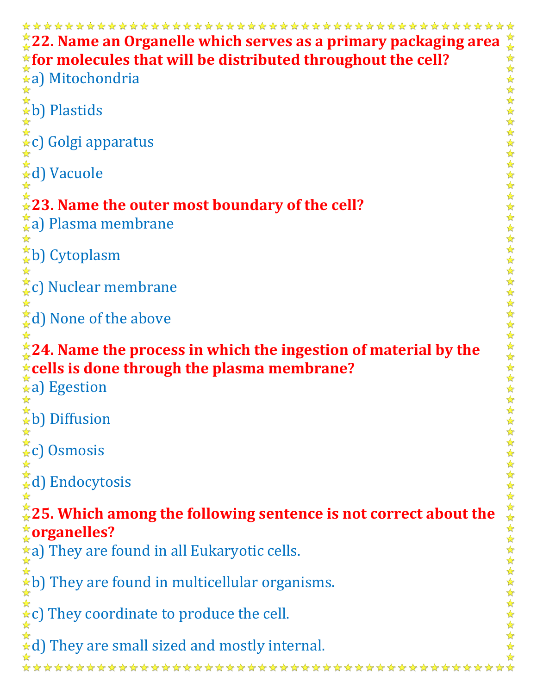**22. Name an Organelle which serves as a primary packaging area**   $\frac{1}{2}$ **for molecules that will be distributed throughout the cell?** ☆  $\frac{\lambda}{\lambda^2}$ a) Mitochondria  $\frac{1}{2}$  $\hat{a}$ b) Plastids ☆  $\hat{\star}$ c) Golgi apparatus <del>☆</del>d) Vacuole ☆ **23. Name the outer most boundary of the cell?** <del>ൂ</del>a) Plasma membrane ☆ <del>☆</del>b) Cytoplasm ☆ c) Nuclear membrane  $\frac{1}{2}$ d) None of the above ☆ **24. Name the process in which the ingestion of material by the cells is done through the plasma membrane?**  $\hat{A}$ a) Egestion ☆  $\stackrel{\star}{\ast}$ b) Diffusion ☆  $\stackrel{\star}{\star}$ c) Osmosis ☆  $\stackrel{\star}{\star}$ d) Endocytosis ☆ **25. Which among the following sentence is not correct about the organelles?**  $\frac{1}{\mathbf{x}}$ a) They are found in all Eukaryotic cells. ☆  $\star$ b) They are found in multicellular organisms. ☆  $\ast c$ ) They coordinate to produce the cell.  $\star$ d) They are small sized and mostly internal. \*\*\*\*\*\*\*\*\*\*\*\*\*\*\*\*\*\*\*\*\*\*\*\*\*\*\*\*\*\*\*\*\*\*\*\*\*\*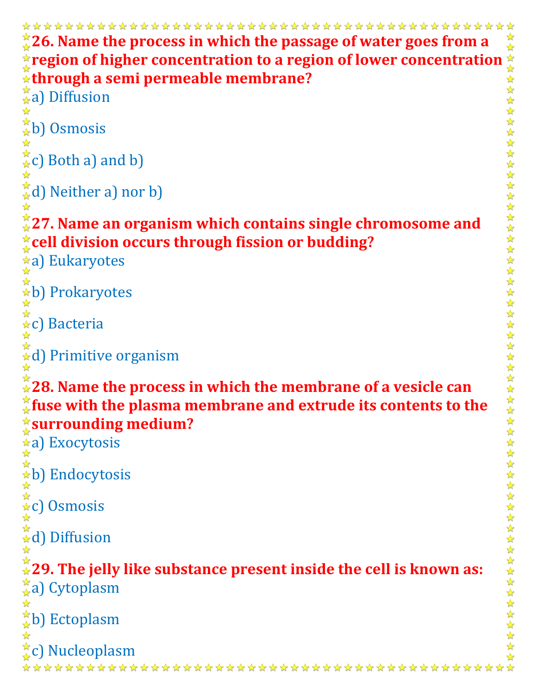```
26. Name the process in which the passage of water goes from a 
                                                                                         ☆
region of higher concentration to a region of lower concentration \frac{1}{2} where \frac{1}{2} where \frac{1}{2} where \frac{1}{2} where \frac{1}{2} where \frac{1}{2} where a) nor b)<br>
\frac{1}{2} where \frac{1}{2} and b)<br>
\frac{1}{2} wher
through a semi permeable membrane?
\frac{1}{2}a) Diffusion
\stackrel{\star}{\star}b) Osmosis
☆
\frac{A}{A}c) Both a) and b)
\frac{1}{2}d) Neither a) nor b)
☆
27. Name an organism which contains single chromosome and 
cell division occurs through fission or budding?
a) Eukaryotes
\overleftrightarrow{\star}b) Prokaryotes
<del>☆</del><br>☆c) Bacteria
☆
\stackrel{\star}{\star}d) Primitive organism
28. Name the process in which the membrane of a vesicle can 
fuse with the plasma membrane and extrude its contents to the 
surrounding medium?
\hat{a}a) Exocytosis
\hat{a}b) Endocytosis
\overleftrightarrow{\star}c) Osmosis
\stackrel{\star}{\star}d) Diffusion
29. The jelly like substance present inside the cell is known as:
\frac{1}{24}a) Cytoplasm
☆
\frac{1}{k}b) Ectoplasm
\frac{1}{\mathcal{N}}c) Nucleoplasm
```